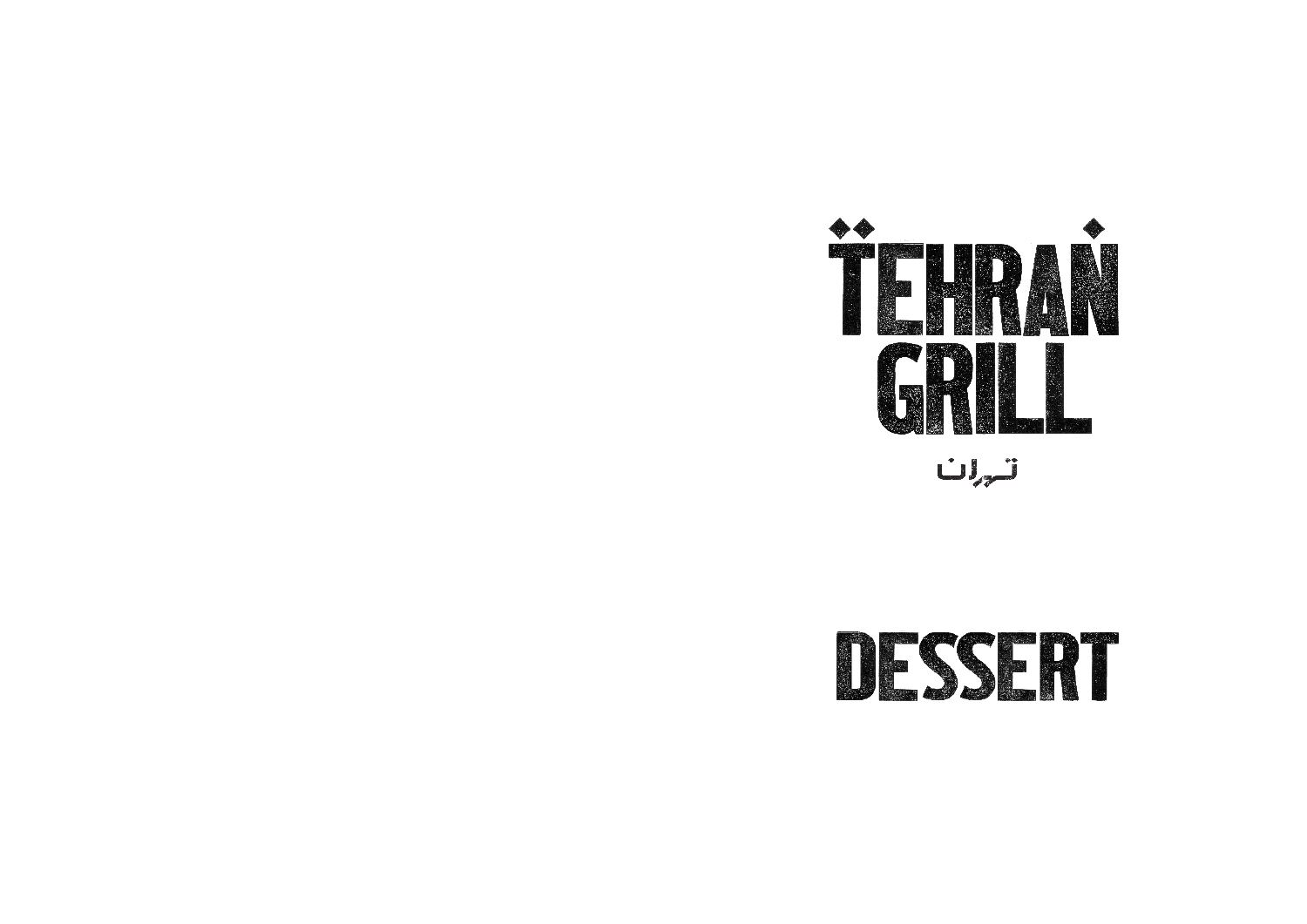